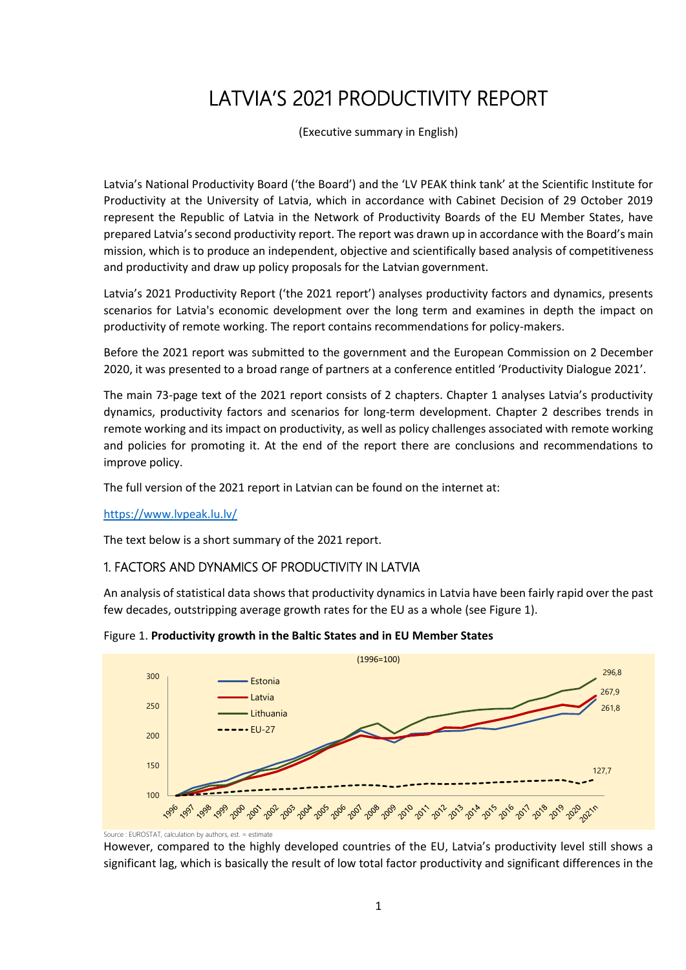# LATVIA'S 2021 PRODUCTIVITY REPORT

(Executive summary in English)

Latvia's National Productivity Board ('the Board') and the 'LV PEAK think tank' at the Scientific Institute for Productivity at the University of Latvia, which in accordance with Cabinet Decision of 29 October 2019 represent the Republic of Latvia in the Network of Productivity Boards of the EU Member States, have prepared Latvia's second productivity report. The report was drawn up in accordance with the Board's main mission, which is to produce an independent, objective and scientifically based analysis of competitiveness and productivity and draw up policy proposals for the Latvian government.

Latvia's 2021 Productivity Report ('the 2021 report') analyses productivity factors and dynamics, presents scenarios for Latvia's economic development over the long term and examines in depth the impact on productivity of remote working. The report contains recommendations for policy-makers.

Before the 2021 report was submitted to the government and the European Commission on 2 December 2020, it was presented to a broad range of partners at a conference entitled 'Productivity Dialogue 2021'.

The main 73-page text of the 2021 report consists of 2 chapters. Chapter 1 analyses Latvia's productivity dynamics, productivity factors and scenarios for long-term development. Chapter 2 describes trends in remote working and its impact on productivity, as well as policy challenges associated with remote working and policies for promoting it. At the end of the report there are conclusions and recommendations to improve policy.

The full version of the 2021 report in Latvian can be found on the internet at:

<https://www.lvpeak.lu.lv/>

The text below is a short summary of the 2021 report.

# 1. FACTORS AND DYNAMICS OF PRODUCTIVITY IN LATVIA

An analysis of statistical data shows that productivity dynamics in Latvia have been fairly rapid over the past few decades, outstripping average growth rates for the EU as a whole (see Figure 1).





However, compared to the highly developed countries of the EU, Latvia's productivity level still shows a significant lag, which is basically the result of low total factor productivity and significant differences in the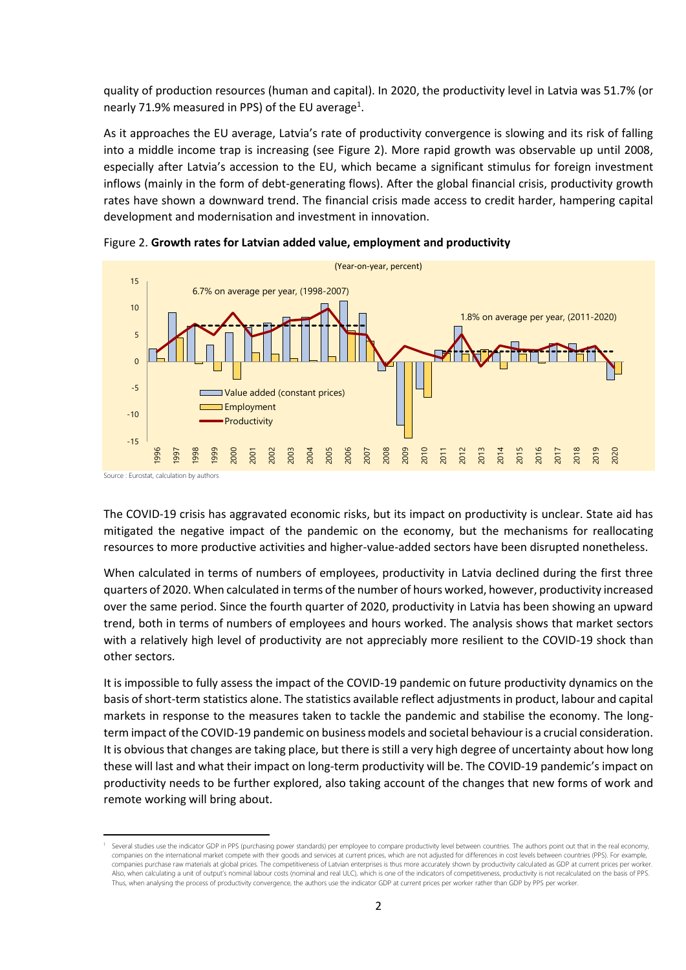quality of production resources (human and capital). In 2020, the productivity level in Latvia was 51.7% (or nearly 71.9% measured in PPS) of the EU average<sup>1</sup>.

As it approaches the EU average, Latvia's rate of productivity convergence is slowing and its risk of falling into a middle income trap is increasing (see Figure 2). More rapid growth was observable up until 2008, especially after Latvia's accession to the EU, which became a significant stimulus for foreign investment inflows (mainly in the form of debt-generating flows). After the global financial crisis, productivity growth rates have shown a downward trend. The financial crisis made access to credit harder, hampering capital development and modernisation and investment in innovation.



Figure 2. **Growth rates for Latvian added value, employment and productivity**

The COVID-19 crisis has aggravated economic risks, but its impact on productivity is unclear. State aid has mitigated the negative impact of the pandemic on the economy, but the mechanisms for reallocating resources to more productive activities and higher-value-added sectors have been disrupted nonetheless.

When calculated in terms of numbers of employees, productivity in Latvia declined during the first three quarters of 2020. When calculated in terms of the number of hours worked, however, productivity increased over the same period. Since the fourth quarter of 2020, productivity in Latvia has been showing an upward trend, both in terms of numbers of employees and hours worked. The analysis shows that market sectors with a relatively high level of productivity are not appreciably more resilient to the COVID-19 shock than other sectors.

It is impossible to fully assess the impact of the COVID-19 pandemic on future productivity dynamics on the basis of short-term statistics alone. The statistics available reflect adjustments in product, labour and capital markets in response to the measures taken to tackle the pandemic and stabilise the economy. The longterm impact of the COVID-19 pandemic on business models and societal behaviour is a crucial consideration. It is obvious that changes are taking place, but there is still a very high degree of uncertainty about how long these will last and what their impact on long-term productivity will be. The COVID-19 pandemic's impact on productivity needs to be further explored, also taking account of the changes that new forms of work and remote working will bring about.

**.** 

<sup>&</sup>lt;sup>1</sup> Several studies use the indicator GDP in PPS (purchasing power standards) per employee to compare productivity level between countries. The authors point out that in the real economy, companies on the international market compete with their goods and services at current prices, which are not adjusted for differences in cost levels between countries (PPS). For example, companies purchase raw materials at global prices. The competitiveness of Latvian enterprises is thus more accurately shown by productivity calculated as GDP at current prices per worker. Also, when calculating a unit of output's nominal labour costs (nominal and real ULC), which is one of the indicators of competitiveness, productivity is not recalculated on the basis of PPS. Thus, when analysing the process of productivity convergence, the authors use the indicator GDP at current prices per worker rather than GDP by PPS per worker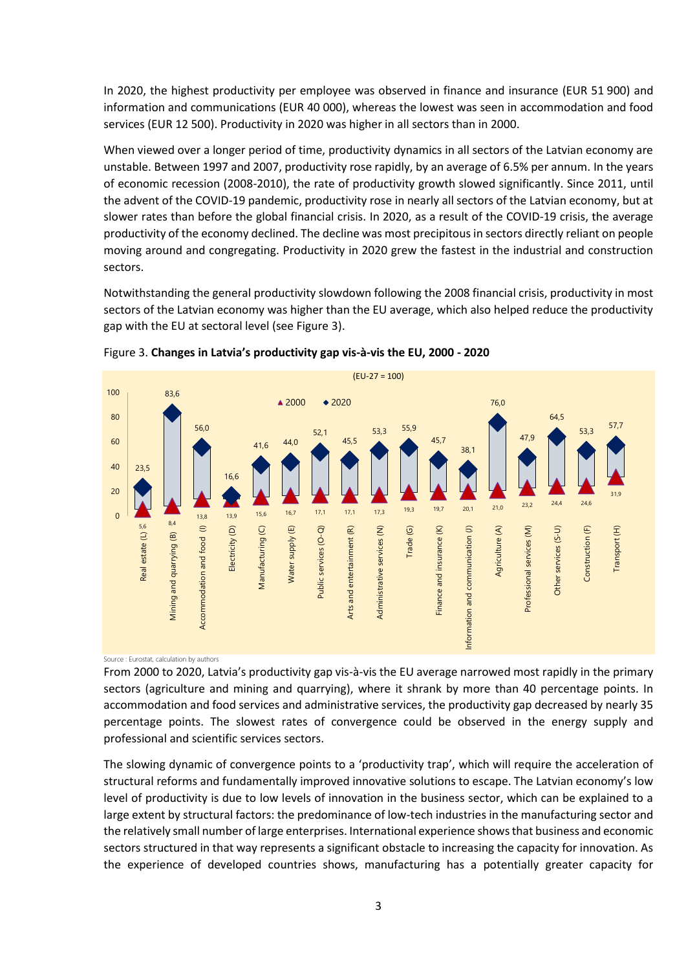In 2020, the highest productivity per employee was observed in finance and insurance (EUR 51 900) and information and communications (EUR 40 000), whereas the lowest was seen in accommodation and food services (EUR 12 500). Productivity in 2020 was higher in all sectors than in 2000.

When viewed over a longer period of time, productivity dynamics in all sectors of the Latvian economy are unstable. Between 1997 and 2007, productivity rose rapidly, by an average of 6.5% per annum. In the years of economic recession (2008-2010), the rate of productivity growth slowed significantly. Since 2011, until the advent of the COVID-19 pandemic, productivity rose in nearly all sectors of the Latvian economy, but at slower rates than before the global financial crisis. In 2020, as a result of the COVID-19 crisis, the average productivity of the economy declined. The decline was most precipitous in sectors directly reliant on people moving around and congregating. Productivity in 2020 grew the fastest in the industrial and construction sectors.

Notwithstanding the general productivity slowdown following the 2008 financial crisis, productivity in most sectors of the Latvian economy was higher than the EU average, which also helped reduce the productivity gap with the EU at sectoral level (see Figure 3).





Source : Eurostat, calculation by authors

From 2000 to 2020, Latvia's productivity gap vis-à-vis the EU average narrowed most rapidly in the primary sectors (agriculture and mining and quarrying), where it shrank by more than 40 percentage points. In accommodation and food services and administrative services, the productivity gap decreased by nearly 35 percentage points. The slowest rates of convergence could be observed in the energy supply and professional and scientific services sectors.

The slowing dynamic of convergence points to a 'productivity trap', which will require the acceleration of structural reforms and fundamentally improved innovative solutions to escape. The Latvian economy's low level of productivity is due to low levels of innovation in the business sector, which can be explained to a large extent by structural factors: the predominance of low-tech industries in the manufacturing sector and the relatively small number of large enterprises. International experience shows that business and economic sectors structured in that way represents a significant obstacle to increasing the capacity for innovation. As the experience of developed countries shows, manufacturing has a potentially greater capacity for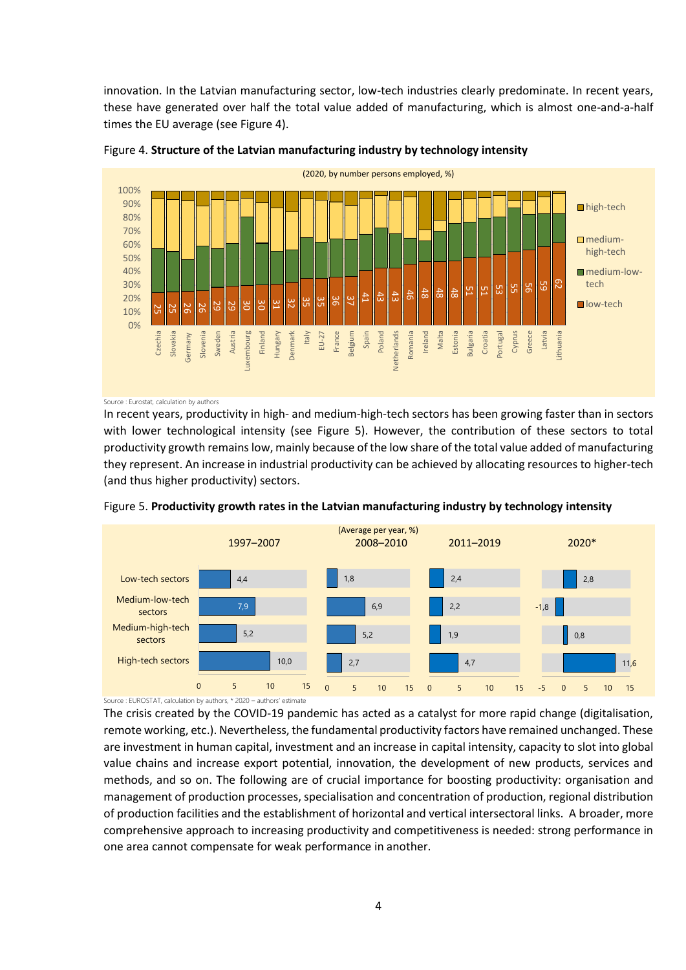innovation. In the Latvian manufacturing sector, low-tech industries clearly predominate. In recent years, these have generated over half the total value added of manufacturing, which is almost one-and-a-half times the EU average (see Figure 4).





Source : Eurostat, calculation by authors

In recent years, productivity in high- and medium-high-tech sectors has been growing faster than in sectors with lower technological intensity (see Figure 5). However, the contribution of these sectors to total productivity growth remains low, mainly because of the low share of the total value added of manufacturing they represent. An increase in industrial productivity can be achieved by allocating resources to higher-tech (and thus higher productivity) sectors.



Figure 5. **Productivity growth rates in the Latvian manufacturing industry by technology intensity**

The crisis created by the COVID-19 pandemic has acted as a catalyst for more rapid change (digitalisation, remote working, etc.). Nevertheless, the fundamental productivity factors have remained unchanged. These are investment in human capital, investment and an increase in capital intensity, capacity to slot into global value chains and increase export potential, innovation, the development of new products, services and methods, and so on. The following are of crucial importance for boosting productivity: organisation and management of production processes, specialisation and concentration of production, regional distribution of production facilities and the establishment of horizontal and vertical intersectoral links. A broader, more comprehensive approach to increasing productivity and competitiveness is needed: strong performance in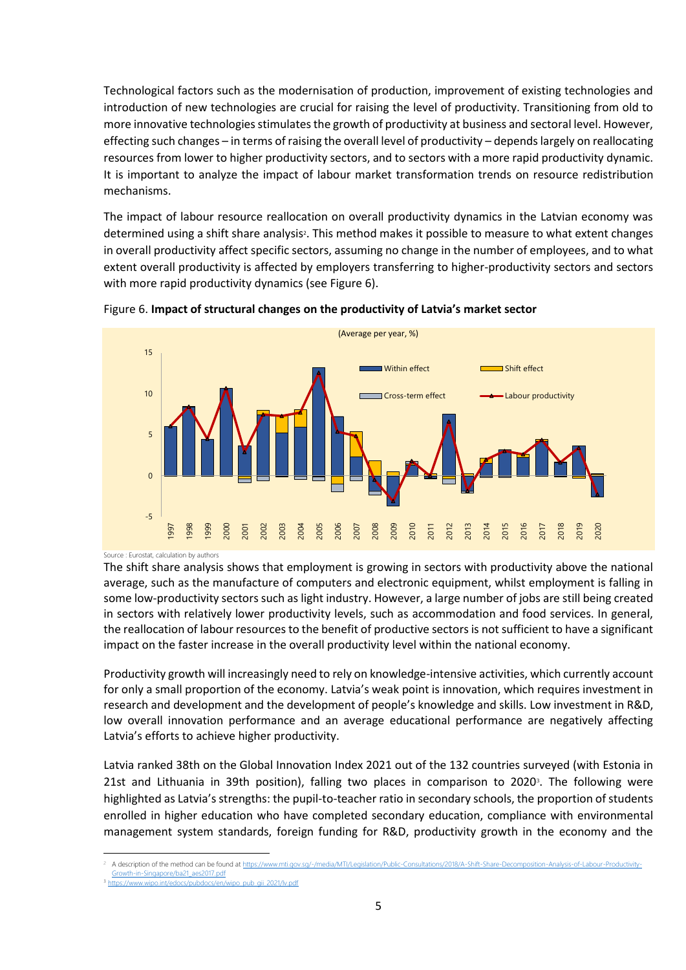Technological factors such as the modernisation of production, improvement of existing technologies and introduction of new technologies are crucial for raising the level of productivity. Transitioning from old to more innovative technologies stimulates the growth of productivity at business and sectoral level. However, effecting such changes – in terms of raising the overall level of productivity – depends largely on reallocating resources from lower to higher productivity sectors, and to sectors with a more rapid productivity dynamic. It is important to analyze the impact of labour market transformation trends on resource redistribution mechanisms.

The impact of labour resource reallocation on overall productivity dynamics in the Latvian economy was determined using a shift share analysis<sup>2</sup>. This method makes it possible to measure to what extent changes in overall productivity affect specific sectors, assuming no change in the number of employees, and to what extent overall productivity is affected by employers transferring to higher-productivity sectors and sectors with more rapid productivity dynamics (see Figure 6).



Figure 6. **Impact of structural changes on the productivity of Latvia's market sector** 

Source : Eurostat, calculation by authors

The shift share analysis shows that employment is growing in sectors with productivity above the national average, such as the manufacture of computers and electronic equipment, whilst employment is falling in some low-productivity sectors such as light industry. However, a large number of jobs are still being created in sectors with relatively lower productivity levels, such as accommodation and food services. In general, the reallocation of labour resources to the benefit of productive sectors is not sufficient to have a significant impact on the faster increase in the overall productivity level within the national economy.

Productivity growth will increasingly need to rely on knowledge-intensive activities, which currently account for only a small proportion of the economy. Latvia's weak point is innovation, which requires investment in research and development and the development of people's knowledge and skills. Low investment in R&D, low overall innovation performance and an average educational performance are negatively affecting Latvia's efforts to achieve higher productivity.

Latvia ranked 38th on the Global Innovation Index 2021 out of the 132 countries surveyed (with Estonia in 21st and Lithuania in 39th position), falling two places in comparison to 2020<sup>3</sup>. The following were highlighted as Latvia's strengths: the pupil-to-teacher ratio in secondary schools, the proportion of students enrolled in higher education who have completed secondary education, compliance with environmental management system standards, foreign funding for R&D, productivity growth in the economy and the

**<sup>.</sup>** A description of the method can be found at https://www.mti.gov.sg/-/media/MTI/Legislation/Public-Consultations/2018/A-Shift [Growth-in-Singapore/ba21\\_aes2017.pdf](https://www.mti.gov.sg/-/media/MTI/Legislation/Public-Consultations/2018/A-Shift-Share-Decomposition-Analysis-of-Labour-Productivity-Growth-in-Singapore/ba21_aes2017.pdf) <sup>3</sup> [https://www.wipo.int/edocs/pubdocs/en/wipo\\_pub\\_gii\\_2021/lv.pdf](https://www.wipo.int/edocs/pubdocs/en/wipo_pub_gii_2021/lv.pdf)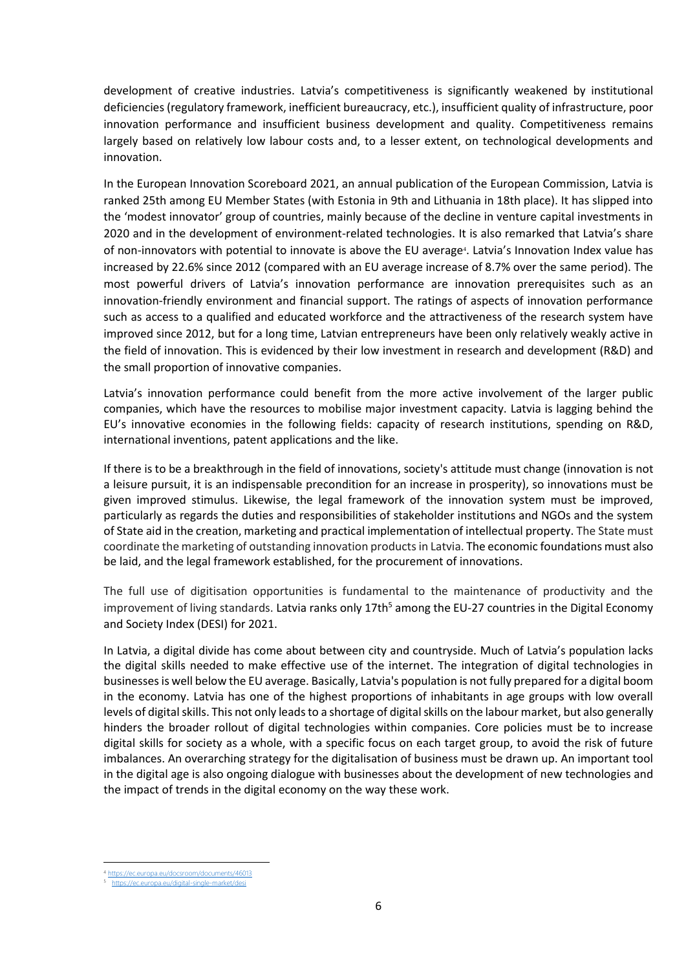development of creative industries. Latvia's competitiveness is significantly weakened by institutional deficiencies (regulatory framework, inefficient bureaucracy, etc.), insufficient quality of infrastructure, poor innovation performance and insufficient business development and quality. Competitiveness remains largely based on relatively low labour costs and, to a lesser extent, on technological developments and innovation.

In the European Innovation Scoreboard 2021, an annual publication of the European Commission, Latvia is ranked 25th among EU Member States (with Estonia in 9th and Lithuania in 18th place). It has slipped into the 'modest innovator' group of countries, mainly because of the decline in venture capital investments in 2020 and in the development of environment-related technologies. It is also remarked that Latvia's share of non-innovators with potential to innovate is above the EU average<sup>4</sup>. Latvia's Innovation Index value has increased by 22.6% since 2012 (compared with an EU average increase of 8.7% over the same period). The most powerful drivers of Latvia's innovation performance are innovation prerequisites such as an innovation-friendly environment and financial support. The ratings of aspects of innovation performance such as access to a qualified and educated workforce and the attractiveness of the research system have improved since 2012, but for a long time, Latvian entrepreneurs have been only relatively weakly active in the field of innovation. This is evidenced by their low investment in research and development (R&D) and the small proportion of innovative companies.

Latvia's innovation performance could benefit from the more active involvement of the larger public companies, which have the resources to mobilise major investment capacity. Latvia is lagging behind the EU's innovative economies in the following fields: capacity of research institutions, spending on R&D, international inventions, patent applications and the like.

If there is to be a breakthrough in the field of innovations, society's attitude must change (innovation is not a leisure pursuit, it is an indispensable precondition for an increase in prosperity), so innovations must be given improved stimulus. Likewise, the legal framework of the innovation system must be improved, particularly as regards the duties and responsibilities of stakeholder institutions and NGOs and the system of State aid in the creation, marketing and practical implementation of intellectual property. The State must coordinate the marketing of outstanding innovation products in Latvia. The economic foundations must also be laid, and the legal framework established, for the procurement of innovations.

The full use of digitisation opportunities is fundamental to the maintenance of productivity and the improvement of living standards. Latvia ranks only  $17th^5$  among the EU-27 countries in the Digital Economy and Society Index (DESI) for 2021.

In Latvia, a digital divide has come about between city and countryside. Much of Latvia's population lacks the digital skills needed to make effective use of the internet. The integration of digital technologies in businesses is well below the EU average. Basically, Latvia's population is not fully prepared for a digital boom in the economy. Latvia has one of the highest proportions of inhabitants in age groups with low overall levels of digital skills. This not only leads to a shortage of digital skills on the labour market, but also generally hinders the broader rollout of digital technologies within companies. Core policies must be to increase digital skills for society as a whole, with a specific focus on each target group, to avoid the risk of future imbalances. An overarching strategy for the digitalisation of business must be drawn up. An important tool in the digital age is also ongoing dialogue with businesses about the development of new technologies and the impact of trends in the digital economy on the way these work.

**<sup>.</sup>** <https://ec.europa.eu/docsroom/documents/46013>

<sup>5</sup> <https://ec.europa.eu/digital-single-market/desi>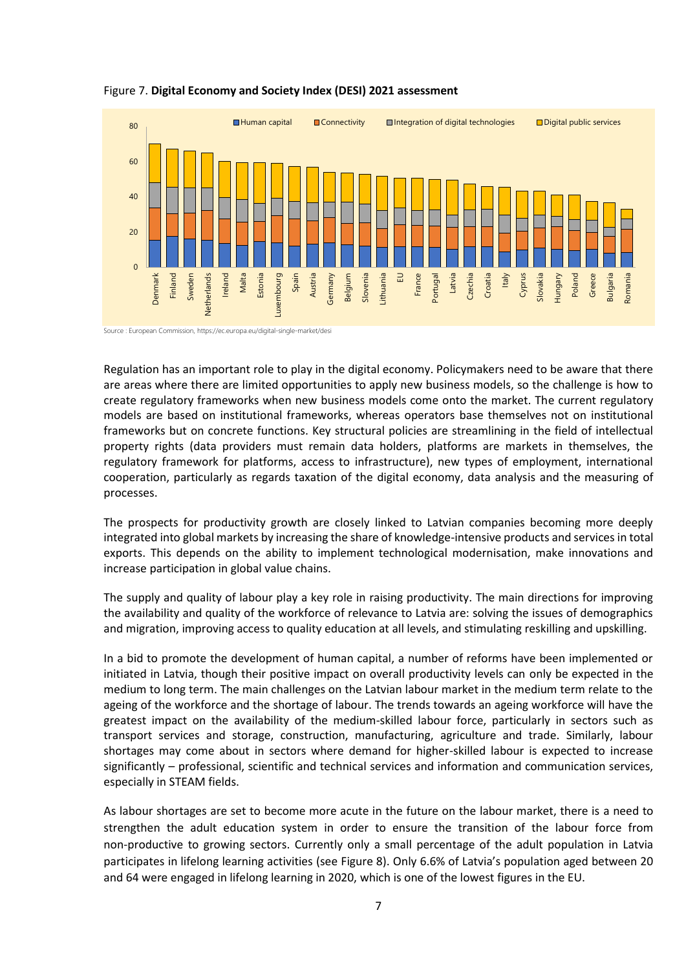

#### Figure 7. **Digital Economy and Society Index (DESI) 2021 assessment**

Source : European Commission[, https://ec.europa.eu/digital-single-market/desi](https://ec.europa.eu/digital-single-market/desi)

Regulation has an important role to play in the digital economy. Policymakers need to be aware that there are areas where there are limited opportunities to apply new business models, so the challenge is how to create regulatory frameworks when new business models come onto the market. The current regulatory models are based on institutional frameworks, whereas operators base themselves not on institutional frameworks but on concrete functions. Key structural policies are streamlining in the field of intellectual property rights (data providers must remain data holders, platforms are markets in themselves, the regulatory framework for platforms, access to infrastructure), new types of employment, international cooperation, particularly as regards taxation of the digital economy, data analysis and the measuring of processes.

The prospects for productivity growth are closely linked to Latvian companies becoming more deeply integrated into global markets by increasing the share of knowledge-intensive products and services in total exports. This depends on the ability to implement technological modernisation, make innovations and increase participation in global value chains.

The supply and quality of labour play a key role in raising productivity. The main directions for improving the availability and quality of the workforce of relevance to Latvia are: solving the issues of demographics and migration, improving access to quality education at all levels, and stimulating reskilling and upskilling.

In a bid to promote the development of human capital, a number of reforms have been implemented or initiated in Latvia, though their positive impact on overall productivity levels can only be expected in the medium to long term. The main challenges on the Latvian labour market in the medium term relate to the ageing of the workforce and the shortage of labour. The trends towards an ageing workforce will have the greatest impact on the availability of the medium-skilled labour force, particularly in sectors such as transport services and storage, construction, manufacturing, agriculture and trade. Similarly, labour shortages may come about in sectors where demand for higher-skilled labour is expected to increase significantly – professional, scientific and technical services and information and communication services, especially in STEAM fields.

As labour shortages are set to become more acute in the future on the labour market, there is a need to strengthen the adult education system in order to ensure the transition of the labour force from non-productive to growing sectors. Currently only a small percentage of the adult population in Latvia participates in lifelong learning activities (see Figure 8). Only 6.6% of Latvia's population aged between 20 and 64 were engaged in lifelong learning in 2020, which is one of the lowest figures in the EU.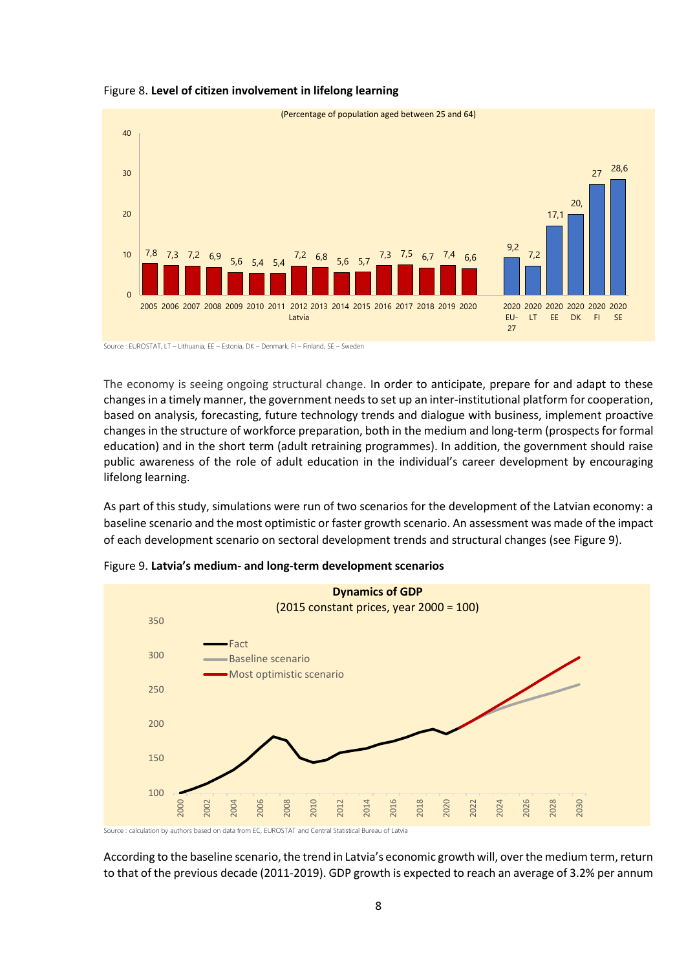



Source : EUROSTAT, LT – Lithuania, EE – Estonia, DK – Denmark, FI – Finland, SE – Sweden

The economy is seeing ongoing structural change. In order to anticipate, prepare for and adapt to these changes in a timely manner, the government needs to set up an inter-institutional platform for cooperation, based on analysis, forecasting, future technology trends and dialogue with business, implement proactive changes in the structure of workforce preparation, both in the medium and long-term (prospects for formal education) and in the short term (adult retraining programmes). In addition, the government should raise public awareness of the role of adult education in the individual's career development by encouraging lifelong learning.

As part of this study, simulations were run of two scenarios for the development of the Latvian economy: a baseline scenario and the most optimistic or faster growth scenario. An assessment was made of the impact of each development scenario on sectoral development trends and structural changes (see Figure 9).



Figure 9. **Latvia's medium- and long-term development scenarios** 

According to the baseline scenario, the trend in Latvia's economic growth will, over the medium term, return to that of the previous decade (2011-2019). GDP growth is expected to reach an average of 3.2% per annum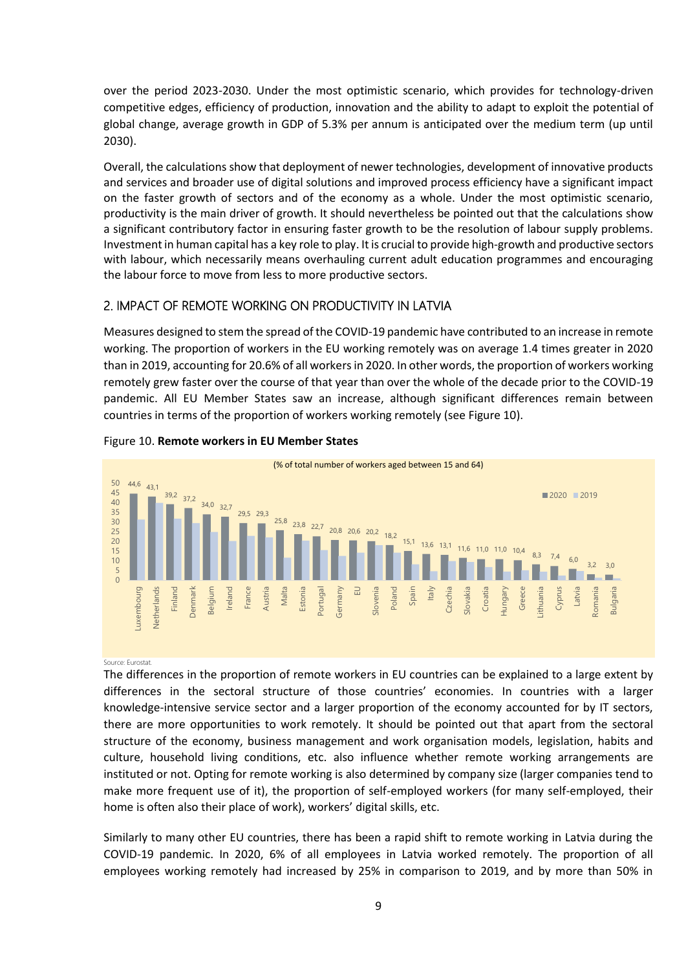over the period 2023-2030. Under the most optimistic scenario, which provides for technology-driven competitive edges, efficiency of production, innovation and the ability to adapt to exploit the potential of global change, average growth in GDP of 5.3% per annum is anticipated over the medium term (up until 2030).

Overall, the calculations show that deployment of newer technologies, development of innovative products and services and broader use of digital solutions and improved process efficiency have a significant impact on the faster growth of sectors and of the economy as a whole. Under the most optimistic scenario, productivity is the main driver of growth. It should nevertheless be pointed out that the calculations show a significant contributory factor in ensuring faster growth to be the resolution of labour supply problems. Investment in human capital has a key role to play. It is crucial to provide high-growth and productive sectors with labour, which necessarily means overhauling current adult education programmes and encouraging the labour force to move from less to more productive sectors.

# 2. IMPACT OF REMOTE WORKING ON PRODUCTIVITY IN LATVIA

Measures designed to stem the spread of the COVID-19 pandemic have contributed to an increase in remote working. The proportion of workers in the EU working remotely was on average 1.4 times greater in 2020 than in 2019, accounting for 20.6% of all workers in 2020. In other words, the proportion of workers working remotely grew faster over the course of that year than over the whole of the decade prior to the COVID-19 pandemic. All EU Member States saw an increase, although significant differences remain between countries in terms of the proportion of workers working remotely (see Figure 10).



### Figure 10. **Remote workers in EU Member States**

#### Source: Eurostat.

The differences in the proportion of remote workers in EU countries can be explained to a large extent by differences in the sectoral structure of those countries' economies. In countries with a larger knowledge-intensive service sector and a larger proportion of the economy accounted for by IT sectors, there are more opportunities to work remotely. It should be pointed out that apart from the sectoral structure of the economy, business management and work organisation models, legislation, habits and culture, household living conditions, etc. also influence whether remote working arrangements are instituted or not. Opting for remote working is also determined by company size (larger companies tend to make more frequent use of it), the proportion of self-employed workers (for many self-employed, their home is often also their place of work), workers' digital skills, etc.

Similarly to many other EU countries, there has been a rapid shift to remote working in Latvia during the COVID-19 pandemic. In 2020, 6% of all employees in Latvia worked remotely. The proportion of all employees working remotely had increased by 25% in comparison to 2019, and by more than 50% in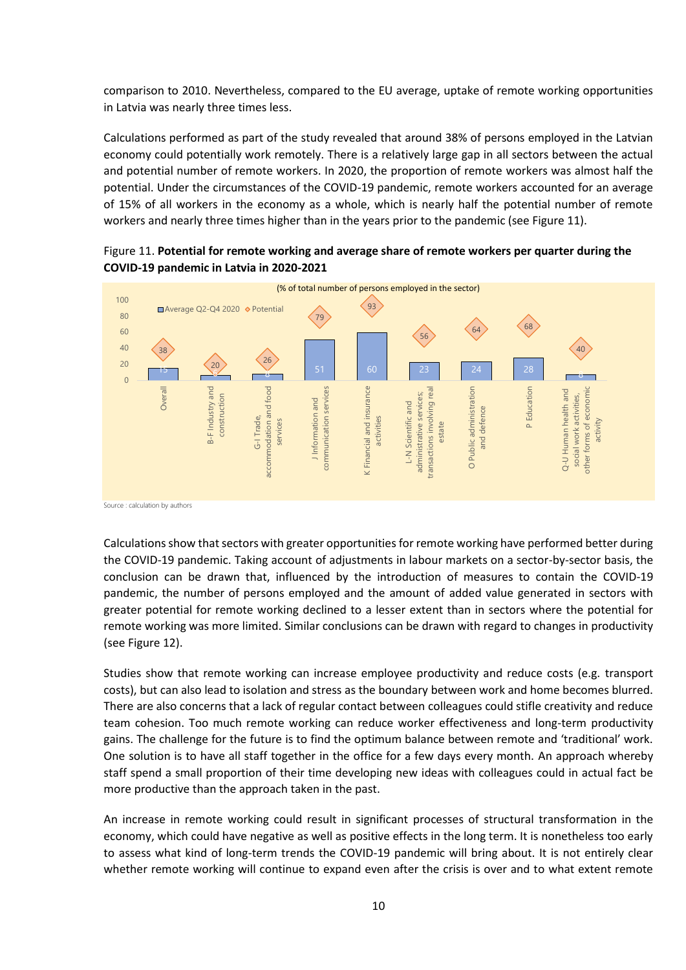comparison to 2010. Nevertheless, compared to the EU average, uptake of remote working opportunities in Latvia was nearly three times less.

Calculations performed as part of the study revealed that around 38% of persons employed in the Latvian economy could potentially work remotely. There is a relatively large gap in all sectors between the actual and potential number of remote workers. In 2020, the proportion of remote workers was almost half the potential. Under the circumstances of the COVID-19 pandemic, remote workers accounted for an average of 15% of all workers in the economy as a whole, which is nearly half the potential number of remote workers and nearly three times higher than in the years prior to the pandemic (see Figure 11).





Source : calculation by authors

Calculations show that sectors with greater opportunities for remote working have performed better during the COVID-19 pandemic. Taking account of adjustments in labour markets on a sector-by-sector basis, the conclusion can be drawn that, influenced by the introduction of measures to contain the COVID-19 pandemic, the number of persons employed and the amount of added value generated in sectors with greater potential for remote working declined to a lesser extent than in sectors where the potential for remote working was more limited. Similar conclusions can be drawn with regard to changes in productivity (see Figure 12).

Studies show that remote working can increase employee productivity and reduce costs (e.g. transport costs), but can also lead to isolation and stress as the boundary between work and home becomes blurred. There are also concerns that a lack of regular contact between colleagues could stifle creativity and reduce team cohesion. Too much remote working can reduce worker effectiveness and long-term productivity gains. The challenge for the future is to find the optimum balance between remote and 'traditional' work. One solution is to have all staff together in the office for a few days every month. An approach whereby staff spend a small proportion of their time developing new ideas with colleagues could in actual fact be more productive than the approach taken in the past.

An increase in remote working could result in significant processes of structural transformation in the economy, which could have negative as well as positive effects in the long term. It is nonetheless too early to assess what kind of long-term trends the COVID-19 pandemic will bring about. It is not entirely clear whether remote working will continue to expand even after the crisis is over and to what extent remote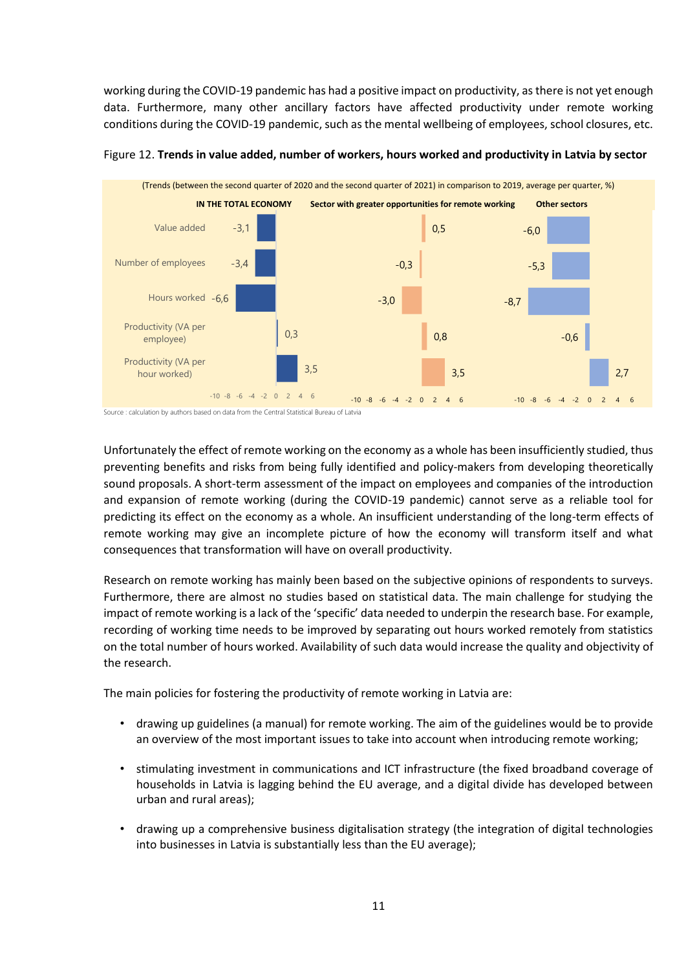working during the COVID-19 pandemic has had a positive impact on productivity, as there is not yet enough data. Furthermore, many other ancillary factors have affected productivity under remote working conditions during the COVID-19 pandemic, such as the mental wellbeing of employees, school closures, etc.



Figure 12. **Trends in value added, number of workers, hours worked and productivity in Latvia by sector**

Source : calculation by authors based on data from the Central Statistical Bureau of Latvia

Unfortunately the effect of remote working on the economy as a whole has been insufficiently studied, thus preventing benefits and risks from being fully identified and policy-makers from developing theoretically sound proposals. A short-term assessment of the impact on employees and companies of the introduction and expansion of remote working (during the COVID-19 pandemic) cannot serve as a reliable tool for predicting its effect on the economy as a whole. An insufficient understanding of the long-term effects of remote working may give an incomplete picture of how the economy will transform itself and what consequences that transformation will have on overall productivity.

Research on remote working has mainly been based on the subjective opinions of respondents to surveys. Furthermore, there are almost no studies based on statistical data. The main challenge for studying the impact of remote working is a lack of the 'specific' data needed to underpin the research base. For example, recording of working time needs to be improved by separating out hours worked remotely from statistics on the total number of hours worked. Availability of such data would increase the quality and objectivity of the research.

The main policies for fostering the productivity of remote working in Latvia are:

- drawing up guidelines (a manual) for remote working. The aim of the guidelines would be to provide an overview of the most important issues to take into account when introducing remote working;
- stimulating investment in communications and ICT infrastructure (the fixed broadband coverage of households in Latvia is lagging behind the EU average, and a digital divide has developed between urban and rural areas);
- drawing up a comprehensive business digitalisation strategy (the integration of digital technologies into businesses in Latvia is substantially less than the EU average);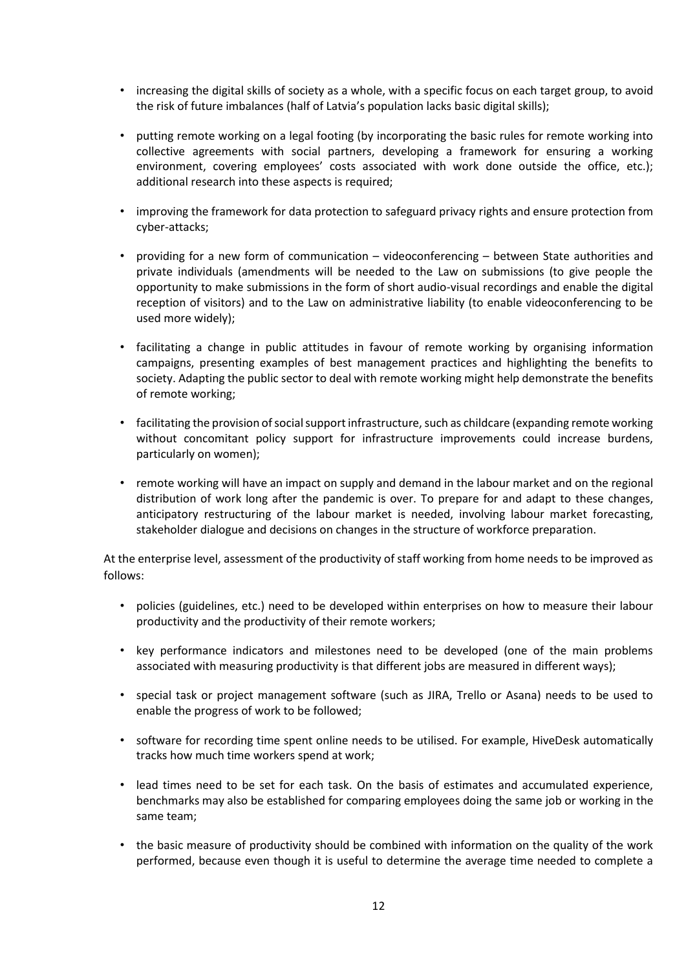- increasing the digital skills of society as a whole, with a specific focus on each target group, to avoid the risk of future imbalances (half of Latvia's population lacks basic digital skills);
- putting remote working on a legal footing (by incorporating the basic rules for remote working into collective agreements with social partners, developing a framework for ensuring a working environment, covering employees' costs associated with work done outside the office, etc.); additional research into these aspects is required;
- improving the framework for data protection to safeguard privacy rights and ensure protection from cyber-attacks;
- providing for a new form of communication videoconferencing between State authorities and private individuals (amendments will be needed to the Law on submissions (to give people the opportunity to make submissions in the form of short audio-visual recordings and enable the digital reception of visitors) and to the Law on administrative liability (to enable videoconferencing to be used more widely);
- facilitating a change in public attitudes in favour of remote working by organising information campaigns, presenting examples of best management practices and highlighting the benefits to society. Adapting the public sector to deal with remote working might help demonstrate the benefits of remote working;
- facilitating the provision of social support infrastructure, such as childcare (expanding remote working without concomitant policy support for infrastructure improvements could increase burdens, particularly on women);
- remote working will have an impact on supply and demand in the labour market and on the regional distribution of work long after the pandemic is over. To prepare for and adapt to these changes, anticipatory restructuring of the labour market is needed, involving labour market forecasting, stakeholder dialogue and decisions on changes in the structure of workforce preparation.

At the enterprise level, assessment of the productivity of staff working from home needs to be improved as follows:

- policies (guidelines, etc.) need to be developed within enterprises on how to measure their labour productivity and the productivity of their remote workers;
- key performance indicators and milestones need to be developed (one of the main problems associated with measuring productivity is that different jobs are measured in different ways);
- special task or project management software (such as JIRA, Trello or Asana) needs to be used to enable the progress of work to be followed;
- software for recording time spent online needs to be utilised. For example, HiveDesk automatically tracks how much time workers spend at work;
- lead times need to be set for each task. On the basis of estimates and accumulated experience, benchmarks may also be established for comparing employees doing the same job or working in the same team;
- the basic measure of productivity should be combined with information on the quality of the work performed, because even though it is useful to determine the average time needed to complete a